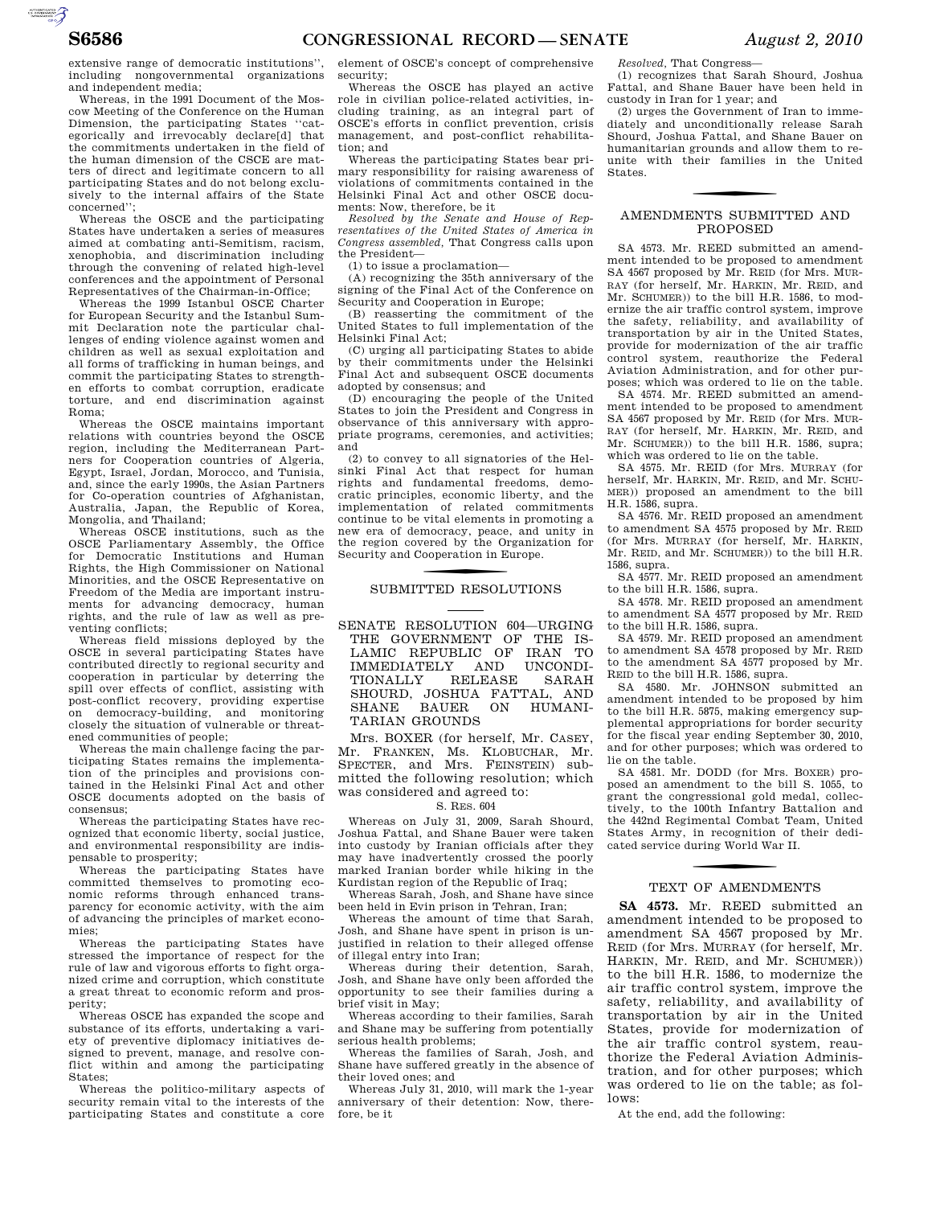$\sum_{\text{SUSMATION}}$ 

extensive range of democratic institutions'', including nongovernmental organizations and independent media;

Whereas, in the 1991 Document of the Moscow Meeting of the Conference on the Human Dimension, the participating States ''categorically and irrevocably declare[d] that the commitments undertaken in the field of the human dimension of the CSCE are matters of direct and legitimate concern to all participating States and do not belong exclusively to the internal affairs of the State concerned'';

Whereas the OSCE and the participating States have undertaken a series of measures aimed at combating anti-Semitism, racism, xenophobia, and discrimination including through the convening of related high-level conferences and the appointment of Personal Representatives of the Chairman-in-Office;

Whereas the 1999 Istanbul OSCE Charter for European Security and the Istanbul Summit Declaration note the particular challenges of ending violence against women and children as well as sexual exploitation and all forms of trafficking in human beings, and commit the participating States to strengthen efforts to combat corruption, eradicate torture, and end discrimination against Roma;

Whereas the OSCE maintains important relations with countries beyond the OSCE region, including the Mediterranean Partners for Cooperation countries of Algeria, Egypt, Israel, Jordan, Morocco, and Tunisia, and, since the early 1990s, the Asian Partners for Co-operation countries of Afghanistan, Australia, Japan, the Republic of Korea, Mongolia, and Thailand;

Whereas OSCE institutions, such as the OSCE Parliamentary Assembly, the Office for Democratic Institutions and Human Rights, the High Commissioner on National Minorities, and the OSCE Representative on Freedom of the Media are important instruments for advancing democracy, human rights, and the rule of law as well as preventing conflicts;

Whereas field missions deployed by the OSCE in several participating States have contributed directly to regional security and cooperation in particular by deterring the spill over effects of conflict, assisting with post-conflict recovery, providing expertise on democracy-building, and monitoring closely the situation of vulnerable or threatened communities of people;

Whereas the main challenge facing the participating States remains the implementation of the principles and provisions contained in the Helsinki Final Act and other OSCE documents adopted on the basis of consensus;

Whereas the participating States have recognized that economic liberty, social justice, and environmental responsibility are indispensable to prosperity;

Whereas the participating States have committed themselves to promoting economic reforms through enhanced transparency for economic activity, with the aim of advancing the principles of market economies;

Whereas the participating States have stressed the importance of respect for the rule of law and vigorous efforts to fight organized crime and corruption, which constitute a great threat to economic reform and prosperity;

Whereas OSCE has expanded the scope and substance of its efforts, undertaking a variety of preventive diplomacy initiatives designed to prevent, manage, and resolve conflict within and among the participating States;

Whereas the politico-military aspects of security remain vital to the interests of the participating States and constitute a core

element of OSCE's concept of comprehensive security;

Whereas the OSCE has played an active role in civilian police-related activities, including training, as an integral part of OSCE's efforts in conflict prevention, crisis management, and post-conflict rehabilitation; and

Whereas the participating States bear primary responsibility for raising awareness of violations of commitments contained in the Helsinki Final Act and other OSCE documents: Now, therefore, be it

*Resolved by the Senate and House of Rep-resentatives of the United States of America in Congress assembled,* That Congress calls upon the President—

(1) to issue a proclamation—

(A) recognizing the 35th anniversary of the signing of the Final Act of the Conference on Security and Cooperation in Europe;

(B) reasserting the commitment of the United States to full implementation of the Helsinki Final Act;

(C) urging all participating States to abide by their commitments under the Helsinki Final Act and subsequent OSCE documents adopted by consensus; and

(D) encouraging the people of the United States to join the President and Congress in observance of this anniversary with appropriate programs, ceremonies, and activities; and

(2) to convey to all signatories of the Helsinki Final Act that respect for human rights and fundamental freedoms, democratic principles, economic liberty, and the implementation of related commitments continue to be vital elements in promoting a new era of democracy, peace, and unity in the region covered by the Organization for Security and Cooperation in Europe.

# SUBMITTED RESOLUTIONS

SENATE RESOLUTION 604—URGING THE GOVERNMENT OF THE IS-LAMIC REPUBLIC OF IRAN TO IMMEDIATELY AND UNCONDI-TIONALLY SHOURD, JOSHUA FATTAL, AND SHANE BAUER ON HUMANI-TARIAN GROUNDS

Mrs. BOXER (for herself, Mr. CASEY, Mr. FRANKEN, Ms. KLOBUCHAR, Mr. SPECTER, and Mrs. FEINSTEIN) submitted the following resolution; which was considered and agreed to:

# S. RES. 604

Whereas on July 31, 2009, Sarah Shourd, Joshua Fattal, and Shane Bauer were taken into custody by Iranian officials after they may have inadvertently crossed the poorly marked Iranian border while hiking in the Kurdistan region of the Republic of Iraq;

Whereas Sarah, Josh, and Shane have since been held in Evin prison in Tehran, Iran;

Whereas the amount of time that Sarah, Josh, and Shane have spent in prison is unjustified in relation to their alleged offense of illegal entry into Iran;

Whereas during their detention, Sarah, Josh, and Shane have only been afforded the opportunity to see their families during a brief visit in May;

Whereas according to their families, Sarah and Shane may be suffering from potentially serious health problems;

Whereas the families of Sarah, Josh, and Shane have suffered greatly in the absence of their loved ones; and

Whereas July 31, 2010, will mark the 1-year anniversary of their detention: Now, therefore, be it

*Resolved,* That Congress—

(1) recognizes that Sarah Shourd, Joshua Fattal, and Shane Bauer have been held in custody in Iran for 1 year; and

(2) urges the Government of Iran to immediately and unconditionally release Sarah Shourd, Joshua Fattal, and Shane Bauer on humanitarian grounds and allow them to reunite with their families in the United States.

## AMENDMENTS SUBMITTED AND PROPOSED

SA 4573. Mr. REED submitted an amendment intended to be proposed to amendment SA 4567 proposed by Mr. REID (for Mrs. MUR-RAY (for herself, Mr. HARKIN, Mr. REID, and Mr. SCHUMER)) to the bill H.R. 1586, to modernize the air traffic control system, improve the safety, reliability, and availability of transportation by air in the United States, provide for modernization of the air traffic control system, reauthorize the Federal Aviation Administration, and for other purposes; which was ordered to lie on the table.

SA 4574. Mr. REED submitted an amendment intended to be proposed to amendment SA 4567 proposed by Mr. REID (for Mrs. MUR-RAY (for herself, Mr. HARKIN, Mr. REID, and Mr. SCHUMER)) to the bill H.R. 1586, supra; which was ordered to lie on the table.

SA 4575. Mr. REID (for Mrs. MURRAY (for herself, Mr. HARKIN, Mr. REID, and Mr. SCHU-MER)) proposed an amendment to the bill H.R. 1586, supra.

SA 4576. Mr. REID proposed an amendment to amendment SA 4575 proposed by Mr. REID (for Mrs. MURRAY (for herself, Mr. HARKIN, Mr. REID, and Mr. SCHUMER)) to the bill H.R. 1586, supra.

SA 4577. Mr. REID proposed an amendment to the bill H.R. 1586, supra.

SA 4578. Mr. REID proposed an amendment to amendment SA 4577 proposed by Mr. REID to the bill H.R. 1586, supra.

SA 4579. Mr. REID proposed an amendment to amendment SA 4578 proposed by Mr. REID to the amendment SA 4577 proposed by Mr. REID to the bill H.R. 1586, supra.

SA 4580. Mr. JOHNSON submitted an amendment intended to be proposed by him to the bill H.R. 5875, making emergency supplemental appropriations for border security for the fiscal year ending September 30, 2010, and for other purposes; which was ordered to lie on the table.

SA 4581. Mr. DODD (for Mrs. BOXER) proposed an amendment to the bill S. 1055, to grant the congressional gold medal, collectively, to the 100th Infantry Battalion and the 442nd Regimental Combat Team, United States Army, in recognition of their dedicated service during World War II.

## TEXT OF AMENDMENTS

**SA 4573.** Mr. REED submitted an amendment intended to be proposed to amendment SA 4567 proposed by Mr. REID (for Mrs. MURRAY (for herself, Mr. HARKIN, Mr. REID, and Mr. SCHUMER)) to the bill H.R. 1586, to modernize the air traffic control system, improve the safety, reliability, and availability of transportation by air in the United States, provide for modernization of the air traffic control system, reauthorize the Federal Aviation Administration, and for other purposes; which was ordered to lie on the table; as follows:

At the end, add the following: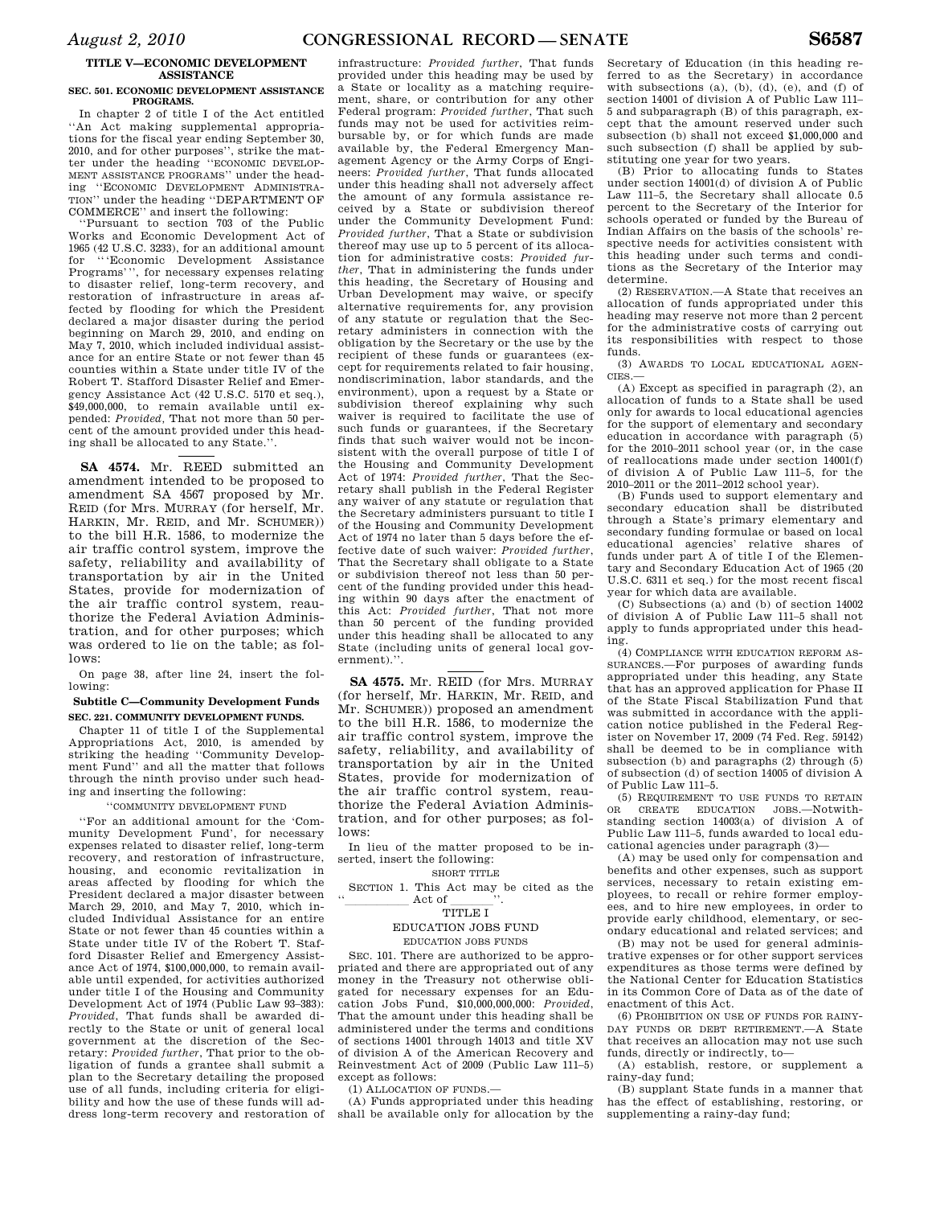### **TITLE V—ECONOMIC DEVELOPMENT ASSISTANCE**

#### **SEC. 501. ECONOMIC DEVELOPMENT ASSISTANCE PROGRAMS.**

In chapter 2 of title I of the Act entitled ''An Act making supplemental appropriations for the fiscal year ending September 30, 2010, and for other purposes'', strike the matter under the heading ''ECONOMIC DEVELOP-MENT ASSISTANCE PROGRAMS'' under the heading ''ECONOMIC DEVELOPMENT ADMINISTRA-TION'' under the heading ''DEPARTMENT OF COMMERCE'' and insert the following:

''Pursuant to section 703 of the Public Works and Economic Development Act of 1965 (42 U.S.C. 3233), for an additional amount for '''Economic Development Assistance Programs''', for necessary expenses relating to disaster relief, long-term recovery, and restoration of infrastructure in areas affected by flooding for which the President declared a major disaster during the period beginning on March 29, 2010, and ending on May 7, 2010, which included individual assistance for an entire State or not fewer than 45 counties within a State under title IV of the Robert T. Stafford Disaster Relief and Emergency Assistance Act (42 U.S.C. 5170 et seq.), \$49,000,000, to remain available until expended: *Provided,* That not more than 50 percent of the amount provided under this heading shall be allocated to any State.''.

**SA 4574.** Mr. REED submitted an amendment intended to be proposed to amendment SA 4567 proposed by Mr. REID (for Mrs. MURRAY (for herself, Mr. HARKIN, Mr. REID, and Mr. SCHUMER)) to the bill H.R. 1586, to modernize the air traffic control system, improve the safety, reliability and availability of transportation by air in the United States, provide for modernization of the air traffic control system, reauthorize the Federal Aviation Administration, and for other purposes; which was ordered to lie on the table; as follows:

On page 38, after line 24, insert the following:

### **Subtitle C—Community Development Funds SEC. 221. COMMUNITY DEVELOPMENT FUNDS.**

Chapter 11 of title I of the Supplemental Appropriations Act, 2010, is amended by striking the heading ''Community Development Fund'' and all the matter that follows through the ninth proviso under such heading and inserting the following:

#### ''COMMUNITY DEVELOPMENT FUND

''For an additional amount for the 'Community Development Fund', for necessary expenses related to disaster relief, long-term recovery, and restoration of infrastructure, housing, and economic revitalization in areas affected by flooding for which the President declared a major disaster between March 29, 2010, and May 7, 2010, which included Individual Assistance for an entire State or not fewer than 45 counties within a State under title IV of the Robert T. Stafford Disaster Relief and Emergency Assistance Act of 1974, \$100,000,000, to remain available until expended, for activities authorized under title I of the Housing and Community Development Act of 1974 (Public Law 93–383): *Provided*, That funds shall be awarded directly to the State or unit of general local government at the discretion of the Secretary: *Provided further*, That prior to the obligation of funds a grantee shall submit a plan to the Secretary detailing the proposed use of all funds, including criteria for eligibility and how the use of these funds will address long-term recovery and restoration of

infrastructure: *Provided further*, That funds provided under this heading may be used by a State or locality as a matching requirement, share, or contribution for any other Federal program: *Provided further*, That such funds may not be used for activities reimbursable by, or for which funds are made available by, the Federal Emergency Management Agency or the Army Corps of Engineers: *Provided further*, That funds allocated under this heading shall not adversely affect the amount of any formula assistance received by a State or subdivision thereof under the Community Development Fund: *Provided further*, That a State or subdivision thereof may use up to 5 percent of its allocation for administrative costs: *Provided further*, That in administering the funds under this heading, the Secretary of Housing and Urban Development may waive, or specify alternative requirements for, any provision of any statute or regulation that the Secretary administers in connection with the obligation by the Secretary or the use by the recipient of these funds or guarantees (except for requirements related to fair housing, nondiscrimination, labor standards, and the environment), upon a request by a State or subdivision thereof explaining why such waiver is required to facilitate the use of such funds or guarantees, if the Secretary finds that such waiver would not be inconsistent with the overall purpose of title I of the Housing and Community Development Act of 1974: *Provided further*, That the Secretary shall publish in the Federal Register any waiver of any statute or regulation that the Secretary administers pursuant to title I of the Housing and Community Development Act of 1974 no later than 5 days before the effective date of such waiver: *Provided further*, That the Secretary shall obligate to a State or subdivision thereof not less than 50 percent of the funding provided under this heading within 90 days after the enactment of this Act: *Provided further*, That not more than 50 percent of the funding provided under this heading shall be allocated to any State (including units of general local government).''.

**SA 4575.** Mr. REID (for Mrs. MURRAY (for herself, Mr. HARKIN, Mr. REID, and Mr. SCHUMER)) proposed an amendment to the bill H.R. 1586, to modernize the air traffic control system, improve the safety, reliability, and availability of transportation by air in the United States, provide for modernization of the air traffic control system, reauthorize the Federal Aviation Administration, and for other purposes; as follows:

In lieu of the matter proposed to be inserted, insert the following:

# SHORT TITLE

SECTION 1. This Act may be cited as the  $\frac{d}{d}$  Act of  $\frac{1}{\text{min of }\mathbf{r}}$ .

# TITLE I

# EDUCATION JOBS FUND

# EDUCATION JOBS FUNDS

SEC. 101. There are authorized to be appropriated and there are appropriated out of any money in the Treasury not otherwise obligated for necessary expenses for an Education Jobs Fund, \$10,000,000,000: *Provided*, That the amount under this heading shall be administered under the terms and conditions of sections 14001 through 14013 and title XV of division A of the American Recovery and Reinvestment Act of 2009 (Public Law 111–5) except as follows:

(1) ALLOCATION OF FUNDS.—

(A) Funds appropriated under this heading shall be available only for allocation by the

Secretary of Education (in this heading referred to as the Secretary) in accordance with subsections (a), (b), (d), (e), and (f) of section 14001 of division A of Public Law 111– 5 and subparagraph (B) of this paragraph, except that the amount reserved under such subsection (b) shall not exceed \$1,000,000 and such subsection (f) shall be applied by substituting one year for two years.

(B) Prior to allocating funds to States under section 14001(d) of division A of Public Law 111–5, the Secretary shall allocate 0.5 percent to the Secretary of the Interior for schools operated or funded by the Bureau of Indian Affairs on the basis of the schools' respective needs for activities consistent with this heading under such terms and conditions as the Secretary of the Interior may determine.

(2) RESERVATION.—A State that receives an allocation of funds appropriated under this heading may reserve not more than 2 percent for the administrative costs of carrying out its responsibilities with respect to those funds.

(3) AWARDS TO LOCAL EDUCATIONAL AGEN-CIES.—

(A) Except as specified in paragraph (2), an allocation of funds to a State shall be used only for awards to local educational agencies for the support of elementary and secondary education in accordance with paragraph (5) for the 2010–2011 school year (or, in the case of reallocations made under section 14001(f) of division A of Public Law 111–5, for the 2010–2011 or the 2011–2012 school year).

(B) Funds used to support elementary and secondary education shall be distributed through a State's primary elementary and secondary funding formulae or based on local educational agencies' relative shares of funds under part A of title I of the Elementary and Secondary Education Act of 1965 (20 U.S.C. 6311 et seq.) for the most recent fiscal year for which data are available.

(C) Subsections (a) and (b) of section 14002 of division A of Public Law 111–5 shall not apply to funds appropriated under this heading.

(4) COMPLIANCE WITH EDUCATION REFORM AS-SURANCES.—For purposes of awarding funds appropriated under this heading, any State that has an approved application for Phase II of the State Fiscal Stabilization Fund that was submitted in accordance with the application notice published in the Federal Register on November 17, 2009 (74 Fed. Reg. 59142) shall be deemed to be in compliance with subsection (b) and paragraphs (2) through (5) of subsection (d) of section 14005 of division A of Public Law 111–5.

(5) REQUIREMENT TO USE FUNDS TO RETAIN OR CREATE EDUCATION JOBS.—Notwithstanding section 14003(a) of division A of Public Law 111–5, funds awarded to local educational agencies under paragraph (3)—

(A) may be used only for compensation and benefits and other expenses, such as support services, necessary to retain existing employees, to recall or rehire former employees, and to hire new employees, in order to provide early childhood, elementary, or secondary educational and related services; and

(B) may not be used for general administrative expenses or for other support services expenditures as those terms were defined by the National Center for Education Statistics in its Common Core of Data as of the date of enactment of this Act.

(6) PROHIBITION ON USE OF FUNDS FOR RAINY-DAY FUNDS OR DEBT RETIREMENT.—A State that receives an allocation may not use such funds, directly or indirectly, to—

(A) establish, restore, or supplement a rainy-day fund;

(B) supplant State funds in a manner that has the effect of establishing, restoring, or supplementing a rainy-day fund;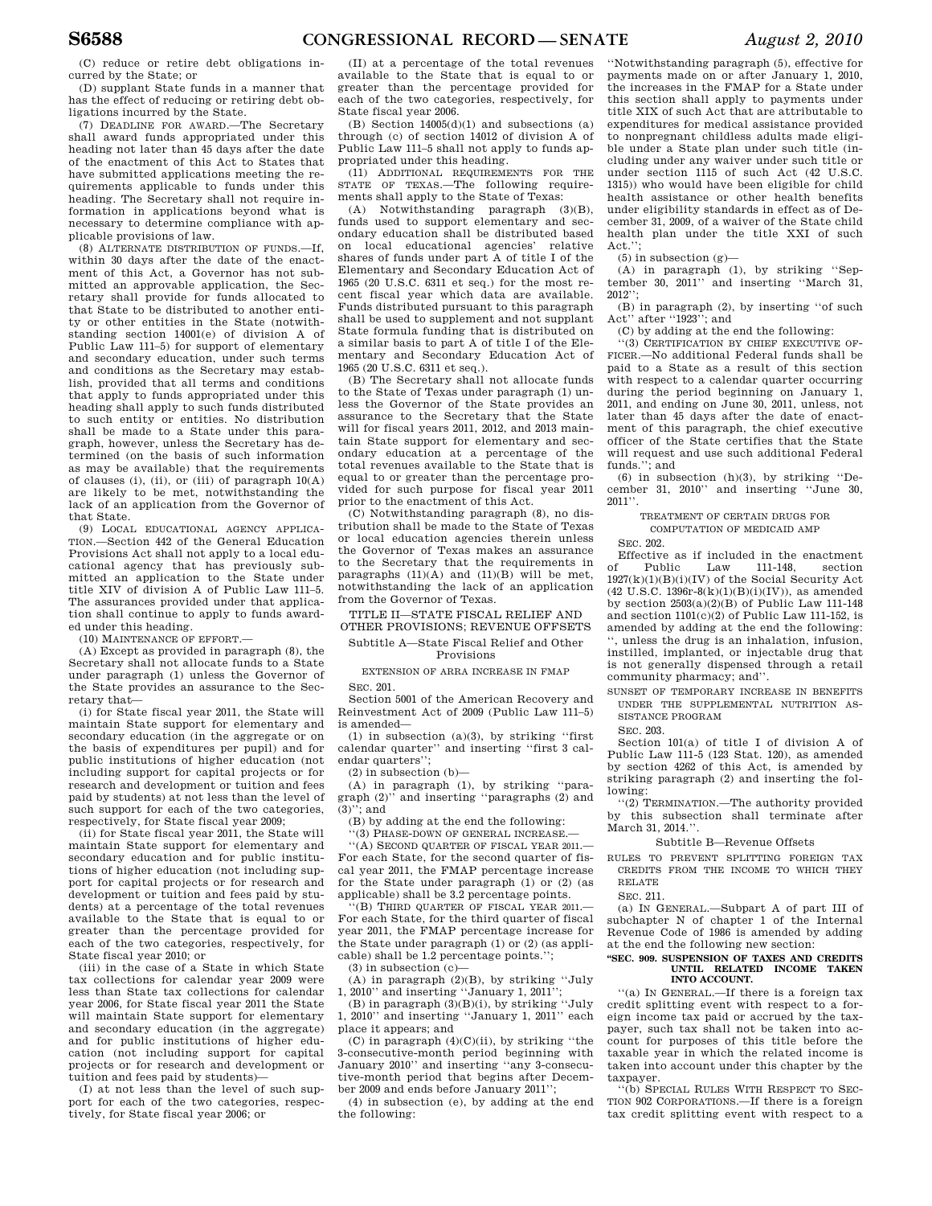(C) reduce or retire debt obligations incurred by the State; or

(D) supplant State funds in a manner that has the effect of reducing or retiring debt obligations incurred by the State.

(7) DEADLINE FOR AWARD.—The Secretary shall award funds appropriated under this heading not later than 45 days after the date of the enactment of this Act to States that have submitted applications meeting the requirements applicable to funds under this heading. The Secretary shall not require information in applications beyond what is necessary to determine compliance with applicable provisions of law.

(8) ALTERNATE DISTRIBUTION OF FUNDS.—If, within 30 days after the date of the enactment of this Act, a Governor has not submitted an approvable application, the Secretary shall provide for funds allocated to that State to be distributed to another entity or other entities in the State (notwithstanding section 14001(e) of division A of Public Law 111–5) for support of elementary and secondary education, under such terms and conditions as the Secretary may establish, provided that all terms and conditions that apply to funds appropriated under this heading shall apply to such funds distributed to such entity or entities. No distribution shall be made to a State under this paragraph, however, unless the Secretary has determined (on the basis of such information as may be available) that the requirements of clauses (i), (ii), or (iii) of paragraph  $10(A)$ are likely to be met, notwithstanding the lack of an application from the Governor of that State.

(9) LOCAL EDUCATIONAL AGENCY APPLICA-TION.—Section 442 of the General Education Provisions Act shall not apply to a local educational agency that has previously submitted an application to the State under title XIV of division A of Public Law 111–5. The assurances provided under that application shall continue to apply to funds awarded under this heading.

(10) MAINTENANCE OF EFFORT.—

(A) Except as provided in paragraph (8), the Secretary shall not allocate funds to a State under paragraph (1) unless the Governor of the State provides an assurance to the Secretary that—

(i) for State fiscal year 2011, the State will maintain State support for elementary and secondary education (in the aggregate or on the basis of expenditures per pupil) and for public institutions of higher education (not including support for capital projects or for research and development or tuition and fees paid by students) at not less than the level of such support for each of the two categories, respectively, for State fiscal year 2009;

(ii) for State fiscal year 2011, the State will maintain State support for elementary and secondary education and for public institutions of higher education (not including support for capital projects or for research and development or tuition and fees paid by students) at a percentage of the total revenues available to the State that is equal to or greater than the percentage provided for each of the two categories, respectively, for State fiscal year 2010; or

(iii) in the case of a State in which State tax collections for calendar year 2009 were less than State tax collections for calendar year 2006, for State fiscal year 2011 the State will maintain State support for elementary and secondary education (in the aggregate) and for public institutions of higher education (not including support for capital projects or for research and development or tuition and fees paid by students)—

(I) at not less than the level of such support for each of the two categories, respectively, for State fiscal year 2006; or

(II) at a percentage of the total revenues available to the State that is equal to or greater than the percentage provided for each of the two categories, respectively, for State fiscal year 2006.

(B) Section  $14005(d)(1)$  and subsections (a) through (c) of section 14012 of division A of Public Law 111–5 shall not apply to funds appropriated under this heading.

(11) ADDITIONAL REQUIREMENTS FOR THE STATE OF TEXAS.—The following requirements shall apply to the State of Texas:

(A) Notwithstanding paragraph (3)(B), funds used to support elementary and secondary education shall be distributed based on local educational agencies' relative shares of funds under part A of title I of the Elementary and Secondary Education Act of 1965 (20 U.S.C. 6311 et seq.) for the most recent fiscal year which data are available. Funds distributed pursuant to this paragraph shall be used to supplement and not supplant State formula funding that is distributed on a similar basis to part A of title I of the Elementary and Secondary Education Act of 1965 (20 U.S.C. 6311 et seq.).

(B) The Secretary shall not allocate funds to the State of Texas under paragraph (1) unless the Governor of the State provides an assurance to the Secretary that the State will for fiscal years 2011, 2012, and 2013 maintain State support for elementary and secondary education at a percentage of the total revenues available to the State that is equal to or greater than the percentage provided for such purpose for fiscal year 2011 prior to the enactment of this Act.

(C) Notwithstanding paragraph (8), no distribution shall be made to the State of Texas or local education agencies therein unless the Governor of Texas makes an assurance to the Secretary that the requirements in paragraphs  $(11)(A)$  and  $(11)(B)$  will be met, notwithstanding the lack of an application from the Governor of Texas.

TITLE II—STATE FISCAL RELIEF AND OTHER PROVISIONS; REVENUE OFFSETS Subtitle A—State Fiscal Relief and Other

Provisions

EXTENSION OF ARRA INCREASE IN FMAP SEC. 201.

Section 5001 of the American Recovery and Reinvestment Act of 2009 (Public Law 111–5) is amended—

(1) in subsection (a)(3), by striking "first calendar quarter'' and inserting ''first 3 calendar quarters'';

(2) in subsection (b)—

(A) in paragraph (1), by striking ''paragraph (2)'' and inserting ''paragraphs (2) and  $(3)$ "; and

(B) by adding at the end the following:

''(3) PHASE-DOWN OF GENERAL INCREASE.—

''(A) SECOND QUARTER OF FISCAL YEAR 2011.— For each State, for the second quarter of fiscal year 2011, the FMAP percentage increase for the State under paragraph (1) or (2) (as applicable) shall be 3.2 percentage points.

''(B) THIRD QUARTER OF FISCAL YEAR 2011.— For each State, for the third quarter of fiscal year 2011, the FMAP percentage increase for the State under paragraph (1) or (2) (as applicable) shall be 1.2 percentage points.'';

(3) in subsection (c)—

(A) in paragraph (2)(B), by striking ''July 1, 2010'' and inserting ''January 1, 2011'';

(B) in paragraph (3)(B)(i), by striking ''July 1, 2010" and inserting "January 1, 2011" each place it appears; and

(C) in paragraph  $(4)(C)(ii)$ , by striking "the 3-consecutive-month period beginning with January 2010'' and inserting ''any 3-consecutive-month period that begins after December 2009 and ends before January 2011'';

(4) in subsection (e), by adding at the end the following:

''Notwithstanding paragraph (5), effective for payments made on or after January 1, 2010, the increases in the FMAP for a State under this section shall apply to payments under title XIX of such Act that are attributable to expenditures for medical assistance provided to nonpregnant childless adults made eligible under a State plan under such title (including under any waiver under such title or under section 1115 of such Act (42 U.S.C. 1315)) who would have been eligible for child health assistance or other health benefits under eligibility standards in effect as of December 31, 2009, of a waiver of the State child health plan under the title XXI of such Act.'

 $(5)$  in subsection  $(g)$ 

(A) in paragraph (1), by striking ''September 30, 2011'' and inserting ''March 31,  $2012$ 

(B) in paragraph (2), by inserting ''of such Act'' after ''1923''; and

(C) by adding at the end the following:

''(3) CERTIFICATION BY CHIEF EXECUTIVE OF-FICER.—No additional Federal funds shall be paid to a State as a result of this section with respect to a calendar quarter occurring during the period beginning on January 1, 2011, and ending on June 30, 2011, unless, not later than 45 days after the date of enactment of this paragraph, the chief executive officer of the State certifies that the State will request and use such additional Federal funds.''; and

(6) in subsection  $(h)(3)$ , by striking "December 31, 2010'' and inserting ''June 30, 2011''.

TREATMENT OF CERTAIN DRUGS FOR COMPUTATION OF MEDICAID AMP

SEC. 202.

Effective as if included in the enactment<br>Public Law 111-148, section of Public Law 111-148, section  $1927(k)(1)(B)(i)(IV)$  of the Social Security Act  $(42 \text{ U.S.C. } 1396r - 8(k)(1)(B)(i)(IV))$ , as amended by section  $2503(a)(2)(B)$  of Public Law 111-148 and section 1101(c)(2) of Public Law 111-152, is amended by adding at the end the following: . unless the drug is an inhalation, infusion, instilled, implanted, or injectable drug that is not generally dispensed through a retail community pharmacy; and''.

SUNSET OF TEMPORARY INCREASE IN BENEFITS UNDER THE SUPPLEMENTAL NUTRITION AS-SISTANCE PROGRAM

SEC. 203.

Section 101(a) of title I of division A of Public Law 111-5 (123 Stat. 120), as amended by section 4262 of this Act, is amended by striking paragraph (2) and inserting the following:

''(2) TERMINATION.—The authority provided by this subsection shall terminate after March 31, 2014.".

#### Subtitle B—Revenue Offsets

RULES TO PREVENT SPLITTING FOREIGN TAX CREDITS FROM THE INCOME TO WHICH THEY RELATE

SEC. 211.

(a) IN GENERAL.—Subpart A of part III of subchapter N of chapter 1 of the Internal Revenue Code of 1986 is amended by adding at the end the following new section:

#### **''SEC. 909. SUSPENSION OF TAXES AND CREDITS UNTIL RELATED INCOME TAKEN INTO ACCOUNT.**

''(a) IN GENERAL.—If there is a foreign tax credit splitting event with respect to a foreign income tax paid or accrued by the taxpayer, such tax shall not be taken into account for purposes of this title before the taxable year in which the related income is taken into account under this chapter by the taxpayer.

''(b) SPECIAL RULES WITH RESPECT TO SEC-TION 902 CORPORATIONS.—If there is a foreign tax credit splitting event with respect to a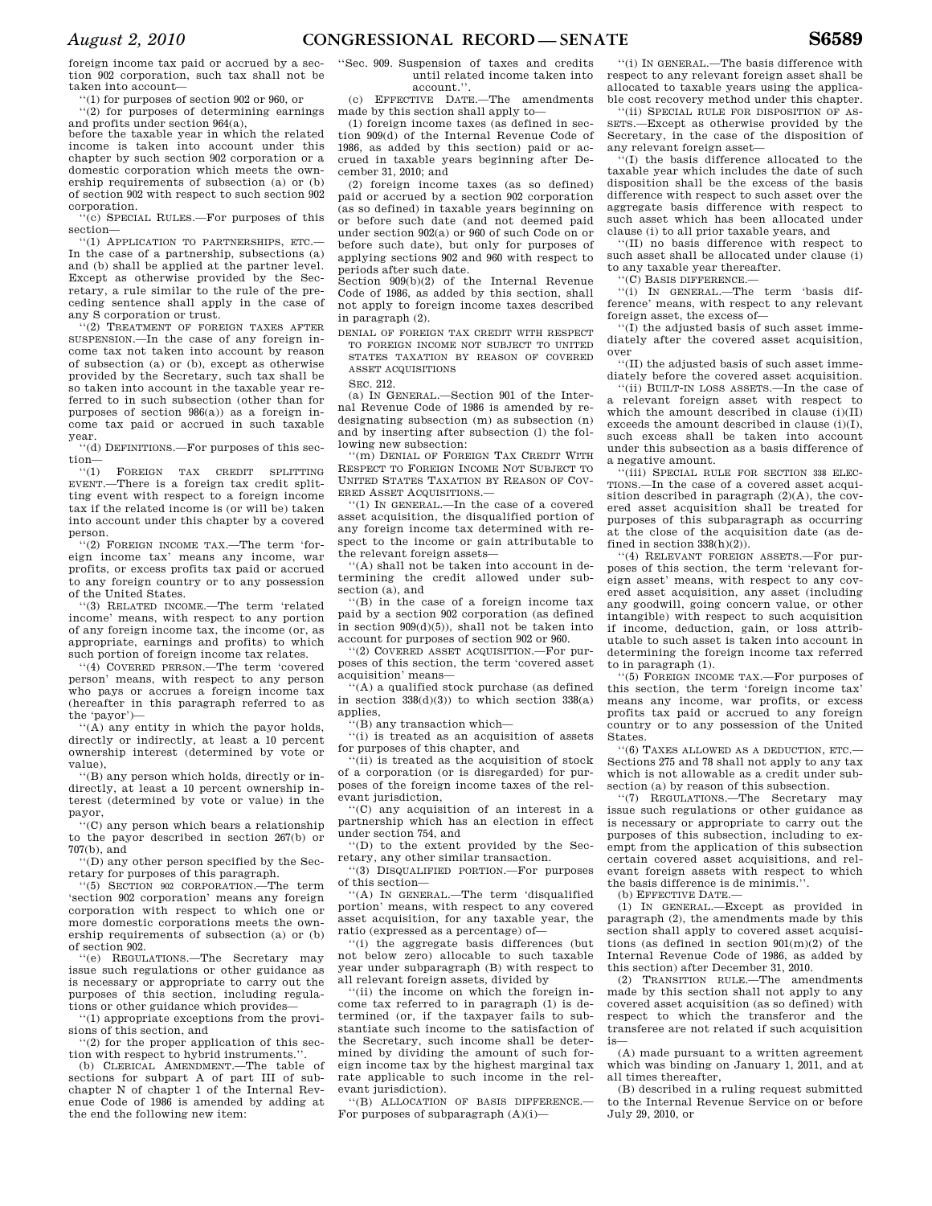foreign income tax paid or accrued by a section 902 corporation, such tax shall not be taken into account—

''(1) for purposes of section 902 or 960, or

''(2) for purposes of determining earnings and profits under section 964(a), before the taxable year in which the related income is taken into account under this chapter by such section 902 corporation or a domestic corporation which meets the own-

ership requirements of subsection (a) or (b) of section 902 with respect to such section 902 corporation. ''(c) SPECIAL RULES.—For purposes of this

section— ''(1) APPLICATION TO PARTNERSHIPS, ETC.—

In the case of a partnership, subsections (a) and (b) shall be applied at the partner level. Except as otherwise provided by the Secretary, a rule similar to the rule of the preceding sentence shall apply in the case of any S corporation or trust.

'(2) TREATMENT OF FOREIGN TAXES AFTER SUSPENSION.—In the case of any foreign income tax not taken into account by reason of subsection (a) or (b), except as otherwise provided by the Secretary, such tax shall be so taken into account in the taxable year referred to in such subsection (other than for purposes of section 986(a)) as a foreign income tax paid or accrued in such taxable year.

''(d) DEFINITIONS.—For purposes of this section—

''(1) FOREIGN TAX CREDIT SPLITTING EVENT.—There is a foreign tax credit splitting event with respect to a foreign income tax if the related income is (or will be) taken into account under this chapter by a covered person.

''(2) FOREIGN INCOME TAX.—The term 'foreign income tax' means any income, war profits, or excess profits tax paid or accrued to any foreign country or to any possession of the United States.

''(3) RELATED INCOME.—The term 'related income' means, with respect to any portion of any foreign income tax, the income (or, as appropriate, earnings and profits) to which such portion of foreign income tax relates.

''(4) COVERED PERSON.—The term 'covered person' means, with respect to any person who pays or accrues a foreign income tax (hereafter in this paragraph referred to as the 'payor')—

''(A) any entity in which the payor holds, directly or indirectly, at least a 10 percent ownership interest (determined by vote or value),

''(B) any person which holds, directly or indirectly, at least a 10 percent ownership interest (determined by vote or value) in the payor,

''(C) any person which bears a relationship to the payor described in section 267(b) or 707(b), and

''(D) any other person specified by the Secretary for purposes of this paragraph.

''(5) SECTION 902 CORPORATION.—The term 'section 902 corporation' means any foreign corporation with respect to which one or more domestic corporations meets the ownership requirements of subsection (a) or (b) of section 902.

''(e) REGULATIONS.—The Secretary may issue such regulations or other guidance as is necessary or appropriate to carry out the purposes of this section, including regulations or other guidance which provides—

''(1) appropriate exceptions from the provisions of this section, and

''(2) for the proper application of this section with respect to hybrid instruments.''. (b) CLERICAL AMENDMENT.—The table of

sections for subpart A of part III of subchapter N of chapter 1 of the Internal Revenue Code of 1986 is amended by adding at the end the following new item:

''Sec. 909. Suspension of taxes and credits until related income taken into account.''.

(c) EFFECTIVE DATE.—The amendments made by this section shall apply to—

(1) foreign income taxes (as defined in section 909(d) of the Internal Revenue Code of 1986, as added by this section) paid or accrued in taxable years beginning after December 31, 2010; and

(2) foreign income taxes (as so defined) paid or accrued by a section 902 corporation (as so defined) in taxable years beginning on or before such date (and not deemed paid under section 902(a) or 960 of such Code on or before such date), but only for purposes of applying sections 902 and 960 with respect to periods after such date.

Section 909(b)(2) of the Internal Revenue Code of 1986, as added by this section, shall not apply to foreign income taxes described in paragraph (2).

DENIAL OF FOREIGN TAX CREDIT WITH RESPECT TO FOREIGN INCOME NOT SUBJECT TO UNITED STATES TAXATION BY REASON OF COVERED ASSET ACQUISITIONS

SEC. 212.

(a) IN GENERAL.—Section 901 of the Internal Revenue Code of 1986 is amended by redesignating subsection (m) as subsection (n) and by inserting after subsection (l) the following new subsection:

''(m) DENIAL OF FOREIGN TAX CREDIT WITH RESPECT TO FOREIGN INCOME NOT SUBJECT TO UNITED STATES TAXATION BY REASON OF COV-ERED ASSET ACQUISITIONS.—

''(1) IN GENERAL.—In the case of a covered asset acquisition, the disqualified portion of any foreign income tax determined with respect to the income or gain attributable to the relevant foreign assets—

''(A) shall not be taken into account in determining the credit allowed under subsection (a), and

''(B) in the case of a foreign income tax paid by a section 902 corporation (as defined in section 909(d)(5)), shall not be taken into account for purposes of section 902 or 960.

''(2) COVERED ASSET ACQUISITION.—For purposes of this section, the term 'covered asset acquisition' means—

 $\hat{f}(A)$  a qualified stock purchase (as defined in section  $338(d)(3)$  to which section  $338(a)$ applies,

''(B) any transaction which—

''(i) is treated as an acquisition of assets for purposes of this chapter, and

 $(iii)$  is treated as the acquisition of stock of a corporation (or is disregarded) for purposes of the foreign income taxes of the relevant jurisdiction.

''(C) any acquisition of an interest in a partnership which has an election in effect under section 754, and

''(D) to the extent provided by the Secretary, any other similar transaction.

''(3) DISQUALIFIED PORTION.—For purposes of this section—

''(A) IN GENERAL.—The term 'disqualified portion' means, with respect to any covered asset acquisition, for any taxable year, the ratio (expressed as a percentage) of—

''(i) the aggregate basis differences (but not below zero) allocable to such taxable year under subparagraph (B) with respect to all relevant foreign assets, divided by

''(ii) the income on which the foreign income tax referred to in paragraph (1) is determined (or, if the taxpayer fails to substantiate such income to the satisfaction of the Secretary, such income shall be determined by dividing the amount of such foreign income tax by the highest marginal tax rate applicable to such income in the relevant jurisdiction).

''(B) ALLOCATION OF BASIS DIFFERENCE.— For purposes of subparagraph  $(A)(i)$ —

''(i) IN GENERAL.—The basis difference with respect to any relevant foreign asset shall be allocated to taxable years using the applicable cost recovery method under this chapter.

''(ii) SPECIAL RULE FOR DISPOSITION OF AS-SETS.—Except as otherwise provided by the Secretary, in the case of the disposition of any relevant foreign asset—

''(I) the basis difference allocated to the taxable year which includes the date of such disposition shall be the excess of the basis difference with respect to such asset over the aggregate basis difference with respect to such asset which has been allocated under clause (i) to all prior taxable years, and

''(II) no basis difference with respect to such asset shall be allocated under clause (i) to any taxable year thereafter.

''(C) BASIS DIFFERENCE.—

''(i) IN GENERAL.—The term 'basis difference' means, with respect to any relevant foreign asset, the excess of—

''(I) the adjusted basis of such asset immediately after the covered asset acquisition, over

''(II) the adjusted basis of such asset immediately before the covered asset acquisition.

''(ii) BUILT-IN LOSS ASSETS.—In the case of a relevant foreign asset with respect to which the amount described in clause (i)(II) exceeds the amount described in clause (i)(I), such excess shall be taken into account under this subsection as a basis difference of a negative amount.

''(iii) SPECIAL RULE FOR SECTION 338 ELEC-TIONS.—In the case of a covered asset acquisition described in paragraph  $(2)(A)$ , the covered asset acquisition shall be treated for purposes of this subparagraph as occurring at the close of the acquisition date (as defined in section 338(h)(2)).

''(4) RELEVANT FOREIGN ASSETS.—For purposes of this section, the term 'relevant foreign asset' means, with respect to any covered asset acquisition, any asset (including any goodwill, going concern value, or other intangible) with respect to such acquisition if income, deduction, gain, or loss attributable to such asset is taken into account in determining the foreign income tax referred to in paragraph (1).

''(5) FOREIGN INCOME TAX.—For purposes of this section, the term 'foreign income tax' means any income, war profits, or excess profits tax paid or accrued to any foreign country or to any possession of the United States.

''(6) TAXES ALLOWED AS A DEDUCTION, ETC.— Sections 275 and 78 shall not apply to any tax which is not allowable as a credit under subsection (a) by reason of this subsection.

''(7) REGULATIONS.—The Secretary may issue such regulations or other guidance as is necessary or appropriate to carry out the purposes of this subsection, including to exempt from the application of this subsection certain covered asset acquisitions, and relevant foreign assets with respect to which the basis difference is de minimis.''.

(b) EFFECTIVE DATE.—

(1) IN GENERAL.—Except as provided in paragraph (2), the amendments made by this section shall apply to covered asset acquisitions (as defined in section 901(m)(2) of the Internal Revenue Code of 1986, as added by this section) after December 31, 2010.

(2) TRANSITION RULE.—The amendments made by this section shall not apply to any covered asset acquisition (as so defined) with respect to which the transferor and the transferee are not related if such acquisition is—

(A) made pursuant to a written agreement which was binding on January 1, 2011, and at all times thereafter,

(B) described in a ruling request submitted to the Internal Revenue Service on or before July 29, 2010, or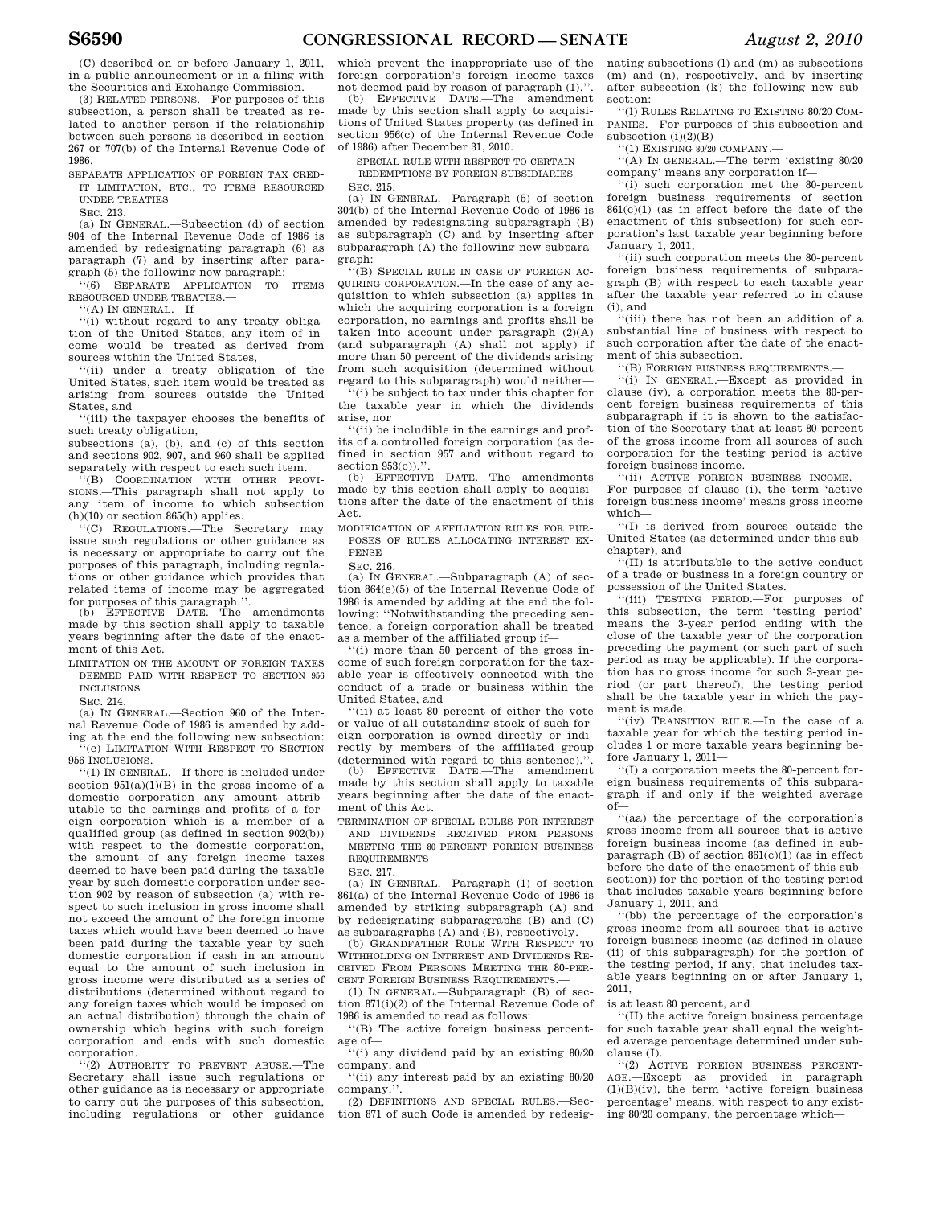(C) described on or before January 1, 2011, in a public announcement or in a filing with the Securities and Exchange Commission.

(3) RELATED PERSONS.—For purposes of this subsection, a person shall be treated as related to another person if the relationship between such persons is described in section 267 or 707(b) of the Internal Revenue Code of 1986.

SEPARATE APPLICATION OF FOREIGN TAX CRED-IT LIMITATION, ETC., TO ITEMS RESOURCED UNDER TREATIES

SEC. 213.

(a) IN GENERAL.—Subsection (d) of section 904 of the Internal Revenue Code of 1986 is amended by redesignating paragraph (6) as paragraph (7) and by inserting after paragraph (5) the following new paragraph:

''(6) SEPARATE APPLICATION TO ITEMS RESOURCED UNDER TREATIES.—

''(A) IN GENERAL.—If—

''(i) without regard to any treaty obligation of the United States, any item of income would be treated as derived from sources within the United States,

'(ii) under a treaty obligation of the United States, such item would be treated as arising from sources outside the United States, and

''(iii) the taxpayer chooses the benefits of such treaty obligation,

subsections (a), (b), and (c) of this section and sections 902, 907, and 960 shall be applied separately with respect to each such item.

''(B) COORDINATION WITH OTHER PROVI-SIONS.—This paragraph shall not apply to any item of income to which subsection  $(h)(10)$  or section 865(h) applies.

''(C) REGULATIONS.—The Secretary may issue such regulations or other guidance as is necessary or appropriate to carry out the purposes of this paragraph, including regulations or other guidance which provides that related items of income may be aggregated for purposes of this paragraph.''.

(b) EFFECTIVE DATE.—The amendments made by this section shall apply to taxable years beginning after the date of the enactment of this Act.

LIMITATION ON THE AMOUNT OF FOREIGN TAXES DEEMED PAID WITH RESPECT TO SECTION 956 INCLUSIONS

SEC. 214.

(a) IN GENERAL.—Section 960 of the Internal Revenue Code of 1986 is amended by adding at the end the following new subsection: ''(c) LIMITATION WITH RESPECT TO SECTION

956 INCLUSIONS

''(1) IN GENERAL.—If there is included under section 951(a)(1)(B) in the gross income of a domestic corporation any amount attributable to the earnings and profits of a foreign corporation which is a member of a qualified group (as defined in section 902(b)) with respect to the domestic corporation, the amount of any foreign income taxes deemed to have been paid during the taxable year by such domestic corporation under section 902 by reason of subsection (a) with respect to such inclusion in gross income shall not exceed the amount of the foreign income taxes which would have been deemed to have been paid during the taxable year by such domestic corporation if cash in an amount equal to the amount of such inclusion in gross income were distributed as a series of distributions (determined without regard to any foreign taxes which would be imposed on an actual distribution) through the chain of ownership which begins with such foreign corporation and ends with such domestic corporation.

''(2) AUTHORITY TO PREVENT ABUSE.—The Secretary shall issue such regulations or other guidance as is necessary or appropriate to carry out the purposes of this subsection, including regulations or other guidance which prevent the inappropriate use of the foreign corporation's foreign income taxes not deemed paid by reason of paragraph (1).''.

(b) EFFECTIVE DATE.—The amendment made by this section shall apply to acquisitions of United States property (as defined in section 956(c) of the Internal Revenue Code of 1986) after December 31, 2010.

SPECIAL RULE WITH RESPECT TO CERTAIN

REDEMPTIONS BY FOREIGN SUBSIDIARIES SEC. 215.

(a) IN GENERAL.—Paragraph (5) of section 304(b) of the Internal Revenue Code of 1986 is amended by redesignating subparagraph (B) as subparagraph (C) and by inserting after subparagraph (A) the following new subparagraph:

''(B) SPECIAL RULE IN CASE OF FOREIGN AC-QUIRING CORPORATION.—In the case of any acquisition to which subsection (a) applies in which the acquiring corporation is a foreign corporation, no earnings and profits shall be taken into account under paragraph (2)(A) (and subparagraph (A) shall not apply) if more than 50 percent of the dividends arising from such acquisition (determined without regard to this subparagraph) would neither—

''(i) be subject to tax under this chapter for the taxable year in which the dividends arise, nor

''(ii) be includible in the earnings and profits of a controlled foreign corporation (as defined in section 957 and without regard to section  $953(c)$ .''.<br>(b) EFFECTIVI

(b) EFFECTIVE DATE.—The amendments made by this section shall apply to acquisitions after the date of the enactment of this Act.

MODIFICATION OF AFFILIATION RULES FOR PUR-POSES OF RULES ALLOCATING INTEREST EX-PENSE

SEC. 216.

(a) IN GENERAL.—Subparagraph (A) of section 864(e)(5) of the Internal Revenue Code of 1986 is amended by adding at the end the following: ''Notwithstanding the preceding sentence, a foreign corporation shall be treated as a member of the affiliated group if—

''(i) more than 50 percent of the gross income of such foreign corporation for the taxable year is effectively connected with the conduct of a trade or business within the United States, and

''(ii) at least 80 percent of either the vote or value of all outstanding stock of such foreign corporation is owned directly or indirectly by members of the affiliated group (determined with regard to this sentence).

(b) EFFECTIVE DATE.—The amendment made by this section shall apply to taxable years beginning after the date of the enactment of this Act.

TERMINATION OF SPECIAL RULES FOR INTEREST AND DIVIDENDS RECEIVED FROM PERSONS MEETING THE 80-PERCENT FOREIGN BUSINESS REQUIREMENTS

SEC. 217.

(a) IN GENERAL.—Paragraph (1) of section 861(a) of the Internal Revenue Code of 1986 is amended by striking subparagraph (A) and by redesignating subparagraphs (B) and (C)

as subparagraphs (A) and (B), respectively. (b) GRANDFATHER RULE WITH RESPECT TO WITHHOLDING ON INTEREST AND DIVIDENDS RE-CEIVED FROM PERSONS MEETING THE 80-PER-CENT FOREIGN BUSINESS REQUIREMENTS.

(1) IN GENERAL.—Subparagraph (B) of section 871(i)(2) of the Internal Revenue Code of 1986 is amended to read as follows:

''(B) The active foreign business percentage of—

''(i) any dividend paid by an existing 80/20 company, and

''(ii) any interest paid by an existing 80/20 company.

(2) DEFINITIONS AND SPECIAL RULES.—Section 871 of such Code is amended by redesig-

nating subsections (l) and (m) as subsections (m) and (n), respectively, and by inserting after subsection (k) the following new subsection:

''(l) RULES RELATING TO EXISTING 80/20 COM-PANIES.—For purposes of this subsection and subsection  $(i)(2)(B)$ 

''(1) EXISTING 80/20 COMPANY.—

''(A) IN GENERAL.—The term 'existing 80/20 company' means any corporation if—

''(i) such corporation met the 80-percent foreign business requirements of section 861(c)(1) (as in effect before the date of the enactment of this subsection) for such corporation's last taxable year beginning before January 1, 2011,

''(ii) such corporation meets the 80-percent foreign business requirements of subparagraph (B) with respect to each taxable year after the taxable year referred to in clause  $(i)$ , and

''(iii) there has not been an addition of a substantial line of business with respect to such corporation after the date of the enactment of this subsection.

''(B) FOREIGN BUSINESS REQUIREMENTS.—

''(i) IN GENERAL.—Except as provided in clause (iv), a corporation meets the 80-percent foreign business requirements of this subparagraph if it is shown to the satisfaction of the Secretary that at least 80 percent of the gross income from all sources of such corporation for the testing period is active foreign business income.

''(ii) ACTIVE FOREIGN BUSINESS INCOME.— For purposes of clause (i), the term 'active foreign business income' means gross income which—

''(I) is derived from sources outside the United States (as determined under this subchapter), and

''(II) is attributable to the active conduct of a trade or business in a foreign country or possession of the United States.

''(iii) TESTING PERIOD.—For purposes of this subsection, the term 'testing period' means the 3-year period ending with the close of the taxable year of the corporation preceding the payment (or such part of such period as may be applicable). If the corporation has no gross income for such 3-year period (or part thereof), the testing period shall be the taxable year in which the payment is made.

''(iv) TRANSITION RULE.—In the case of a taxable year for which the testing period includes 1 or more taxable years beginning before January 1, 2011—

''(I) a corporation meets the 80-percent foreign business requirements of this subparagraph if and only if the weighted average  $\circ$ f $-$ 

''(aa) the percentage of the corporation's gross income from all sources that is active foreign business income (as defined in subparagraph (B) of section 861(c)(1) (as in effect before the date of the enactment of this subsection)) for the portion of the testing period that includes taxable years beginning before January 1, 2011, and

''(bb) the percentage of the corporation's gross income from all sources that is active foreign business income (as defined in clause (ii) of this subparagraph) for the portion of the testing period, if any, that includes taxable years beginning on or after January 1, 2011,

is at least 80 percent, and

''(II) the active foreign business percentage for such taxable year shall equal the weighted average percentage determined under subclause (I).

''(2) ACTIVE FOREIGN BUSINESS PERCENT-AGE.—Except as provided in paragraph  $(1)(B)(iv)$ , the term 'active foreign business percentage' means, with respect to any existing 80/20 company, the percentage which—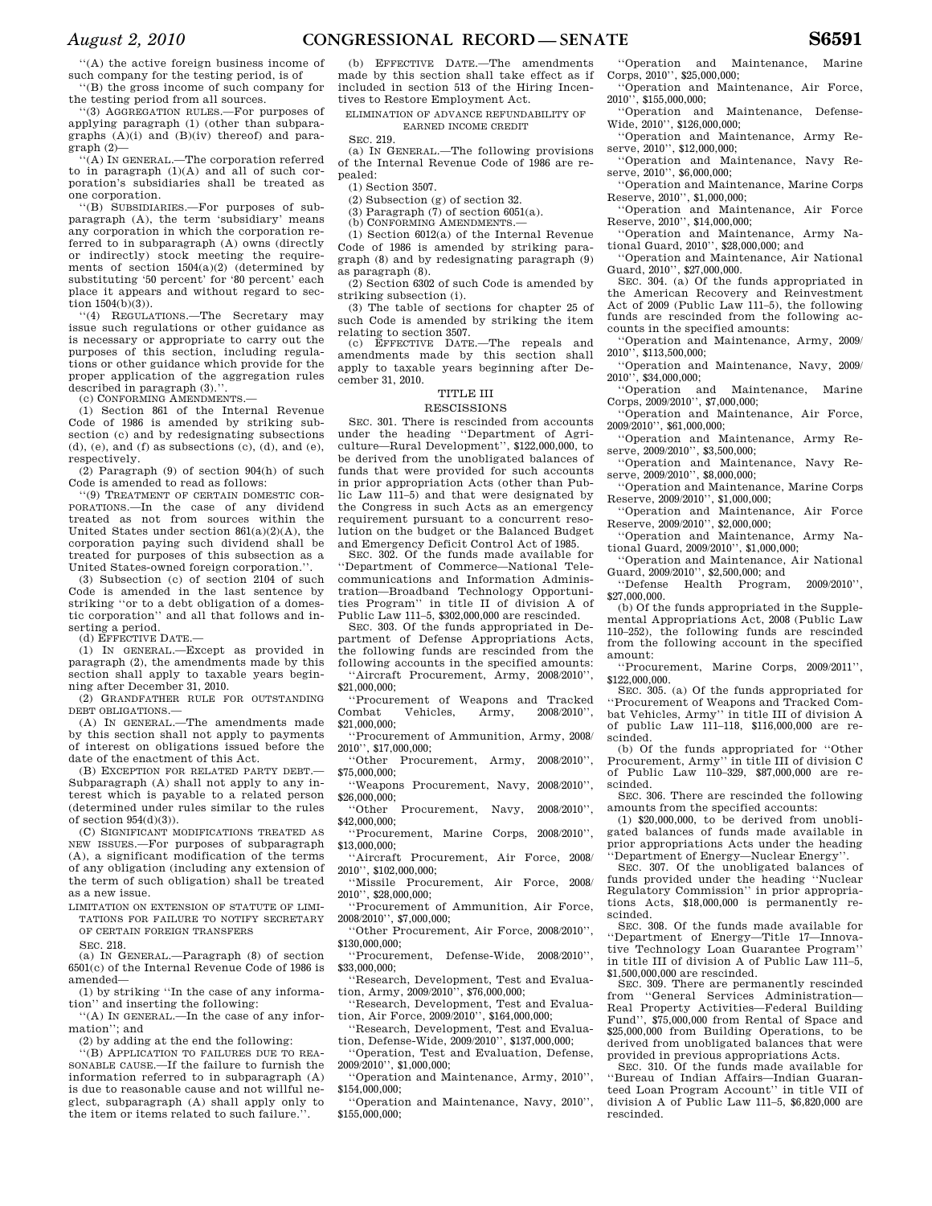''(A) the active foreign business income of such company for the testing period, is of ''(B) the gross income of such company for

the testing period from all sources.

''(3) AGGREGATION RULES.—For purposes of applying paragraph (1) (other than subparagraphs (A)(i) and (B)(iv) thereof) and paragraph (2)—

''(A) IN GENERAL.—The corporation referred to in paragraph  $(1)(A)$  and all of such corporation's subsidiaries shall be treated as one corporation.

''(B) SUBSIDIARIES.—For purposes of subparagraph (A), the term 'subsidiary' means any corporation in which the corporation referred to in subparagraph (A) owns (directly or indirectly) stock meeting the requirements of section 1504(a)(2) (determined by substituting '50 percent' for '80 percent' each place it appears and without regard to section 1504(b)(3)).

''(4) REGULATIONS.—The Secretary may issue such regulations or other guidance as is necessary or appropriate to carry out the purposes of this section, including regulations or other guidance which provide for the proper application of the aggregation rules described in paragraph  $(3)$ ."

(c) CONFORMING AMENDMENTS.—

(1) Section 861 of the Internal Revenue Code of 1986 is amended by striking subsection (c) and by redesignating subsections  $(d)$ ,  $(e)$ , and  $(f)$  as subsections  $(c)$ ,  $(d)$ , and  $(e)$ , respectively.

(2) Paragraph (9) of section 904(h) of such Code is amended to read as follows:

''(9) TREATMENT OF CERTAIN DOMESTIC COR-PORATIONS.—In the case of any dividend treated as not from sources within the United States under section  $861(a)(2)(A)$ , the corporation paying such dividend shall be treated for purposes of this subsection as a United States-owned foreign corporation.''.

(3) Subsection (c) of section 2104 of such Code is amended in the last sentence by striking ''or to a debt obligation of a domestic corporation'' and all that follows and inserting a period.

(d) EFFECTIVE DATE.—

(1) IN GENERAL.—Except as provided in paragraph (2), the amendments made by this section shall apply to taxable years beginning after December 31, 2010.

(2) GRANDFATHER RULE FOR OUTSTANDING DEBT OBLIGATIONS.—

(A) IN GENERAL.—The amendments made by this section shall not apply to payments of interest on obligations issued before the date of the enactment of this Act.

(B) EXCEPTION FOR RELATED PARTY DEBT. Subparagraph (A) shall not apply to any interest which is payable to a related person (determined under rules similar to the rules of section 954(d)(3)).

(C) SIGNIFICANT MODIFICATIONS TREATED AS NEW ISSUES.—For purposes of subparagraph (A), a significant modification of the terms of any obligation (including any extension of the term of such obligation) shall be treated as a new issue.

LIMITATION ON EXTENSION OF STATUTE OF LIMI-TATIONS FOR FAILURE TO NOTIFY SECRETARY OF CERTAIN FOREIGN TRANSFERS

SEC. 218.

(a) IN GENERAL.—Paragraph (8) of section 6501(c) of the Internal Revenue Code of 1986 is amended—

(1) by striking ''In the case of any information'' and inserting the following:

''(A) IN GENERAL.—In the case of any information''; and

(2) by adding at the end the following:

''(B) APPLICATION TO FAILURES DUE TO REA-SONABLE CAUSE.—If the failure to furnish the information referred to in subparagraph (A) is due to reasonable cause and not willful neglect, subparagraph (A) shall apply only to the item or items related to such failure.''.

(b) EFFECTIVE DATE.—The amendments made by this section shall take effect as if included in section 513 of the Hiring Incentives to Restore Employment Act.

ELIMINATION OF ADVANCE REFUNDABILITY OF EARNED INCOME CREDIT

SEC. 219.

(a) IN GENERAL.—The following provisions of the Internal Revenue Code of 1986 are repealed:

(1) Section 3507.

(2) Subsection (g) of section 32.

(3) Paragraph  $(7)$  of section  $6051(a)$ .

(b) CONFORMING AMENDMENTS.—

(1) Section 6012(a) of the Internal Revenue Code of 1986 is amended by striking paragraph (8) and by redesignating paragraph (9) as paragraph (8).

(2) Section 6302 of such Code is amended by striking subsection (i).

(3) The table of sections for chapter 25 of such Code is amended by striking the item relating to section 3507.

(c) EFFECTIVE DATE.—The repeals and amendments made by this section shall apply to taxable years beginning after December 31, 2010.

# TITLE III

# RESCISSIONS

SEC. 301. There is rescinded from accounts under the heading ''Department of Agriculture—Rural Development'', \$122,000,000, to be derived from the unobligated balances of funds that were provided for such accounts in prior appropriation Acts (other than Public Law 111–5) and that were designated by the Congress in such Acts as an emergency requirement pursuant to a concurrent resolution on the budget or the Balanced Budget and Emergency Deficit Control Act of 1985.

SEC. 302. Of the funds made available for ''Department of Commerce—National Telecommunications and Information Administration—Broadband Technology Opportunities Program'' in title II of division A of Public Law 111–5, \$302,000,000 are rescinded.

SEC. 303. Of the funds appropriated in Department of Defense Appropriations Acts, the following funds are rescinded from the following accounts in the specified amounts: ''Aircraft Procurement, Army, 2008/2010'',

\$21,000,000;

''Procurement of Weapons and Tracked Combat Vehicles, Army, \$21,000,000;

''Procurement of Ammunition, Army, 2008/ 2010'', \$17,000,000;

\$75,000,000;

''Weapons Procurement, Navy, 2008/2010'', \$26,000,000;

''Other Procurement, Navy, 2008/2010'', \$42,000,000;

''Procurement, Marine Corps, 2008/2010'', \$13,000,000;

''Aircraft Procurement, Air Force, 2008/ 2010'', \$102,000,000;

''Missile Procurement, Air Force, 2008/ 2010'', \$28,000,000;

''Procurement of Ammunition, Air Force,  $2008/2010$ '',  $\$7,000,000;$ 

''Other Procurement, Air Force, 2008/2010'',  $$130,000,000$ ;

''Procurement, Defense-Wide, 2008/2010'', \$33,000,000;

''Research, Development, Test and Evaluation, Army, 2009/2010'', \$76,000,000;

''Research, Development, Test and Evaluation, Air Force, 2009/2010'', \$164,000,000;

''Research, Development, Test and Evaluation, Defense-Wide, 2009/2010'', \$137,000,000;

''Operation, Test and Evaluation, Defense, 2009/2010'', \$1,000,000;

''Operation and Maintenance, Army, 2010'', \$154,000,000;

''Operation and Maintenance, Navy, 2010'', \$155,000,000;

''Operation and Maintenance, Marine Corps, 2010'', \$25,000,000;

''Operation and Maintenance, Air Force,  $2010^{17}$ , \$155,000,000;<br>"Operation and

Maintenance, Defense-Wide, 2010'', \$126,000,000;

''Operation and Maintenance, Army Reserve, 2010", \$12,000,000;

''Operation and Maintenance, Navy Reserve, 2010", \$6,000,000;

''Operation and Maintenance, Marine Corps Reserve, 2010'', \$1,000,000;

''Operation and Maintenance, Air Force Reserve, 2010'', \$14,000,000;

''Operation and Maintenance, Army National Guard, 2010'', \$28,000,000; and

''Operation and Maintenance, Air National Guard, 2010'', \$27,000,000.

SEC. 304. (a) Of the funds appropriated in the American Recovery and Reinvestment Act of 2009 (Public Law 111–5), the following funds are rescinded from the following accounts in the specified amounts:

''Operation and Maintenance, Army, 2009/ 2010'', \$113,500,000;

''Operation and Maintenance, Navy, 2009/ 2010'', \$34,000,000;

''Operation and Maintenance, Marine Corps, 2009/2010'', \$7,000,000;

''Operation and Maintenance, Air Force, 2009/2010'', \$61,000,000;

''Operation and Maintenance, Army Reserve, 2009/2010", \$3,500,000;

''Operation and Maintenance, Navy Reserve, 2009/2010", \$8,000,000;

''Operation and Maintenance, Marine Corps Reserve, 2009/2010'', \$1,000,000;

''Operation and Maintenance, Air Force Reserve, 2009/2010'', \$2,000,000;

''Operation and Maintenance, Army National Guard, 2009/2010'', \$1,000,000;

''Operation and Maintenance, Air National Guard, 2009/2010'', \$2,500,000; and

''Defense Health Program, 2009/2010'', \$27,000,000.

(b) Of the funds appropriated in the Supplemental Appropriations Act, 2008 (Public Law 110–252), the following funds are rescinded from the following account in the specified amount:

''Procurement, Marine Corps, 2009/2011'', \$122,000,000.

SEC. 305. (a) Of the funds appropriated for ''Procurement of Weapons and Tracked Combat Vehicles, Army'' in title III of division A of public Law 111–118, \$116,000,000 are rescinded.

(b) Of the funds appropriated for ''Other Procurement, Army'' in title III of division C of Public Law 110–329, \$87,000,000 are rescinded.

SEC. 306. There are rescinded the following amounts from the specified accounts:

(1)  $$20,000,000$ , to be derived from unobligated balances of funds made available in prior appropriations Acts under the heading ''Department of Energy—Nuclear Energy''.

SEC. 307. Of the unobligated balances of funds provided under the heading ''Nuclear Regulatory Commission'' in prior appropriations Acts, \$18,000,000 is permanently rescinded.

SEC. 308. Of the funds made available for ''Department of Energy—Title 17—Innovative Technology Loan Guarantee Program'' in title III of division A of Public Law 111–5, \$1,500,000,000 are rescinded.

SEC. 309. There are permanently rescinded from ''General Services Administration— Real Property Activities—Federal Building Fund'', \$75,000,000 from Rental of Space and \$25,000,000 from Building Operations, to be derived from unobligated balances that were provided in previous appropriations Acts.

SEC. 310. Of the funds made available for ''Bureau of Indian Affairs—Indian Guaranteed Loan Program Account'' in title VII of division A of Public Law 111–5, \$6,820,000 are rescinded.

''Other Procurement, Army, 2008/2010'',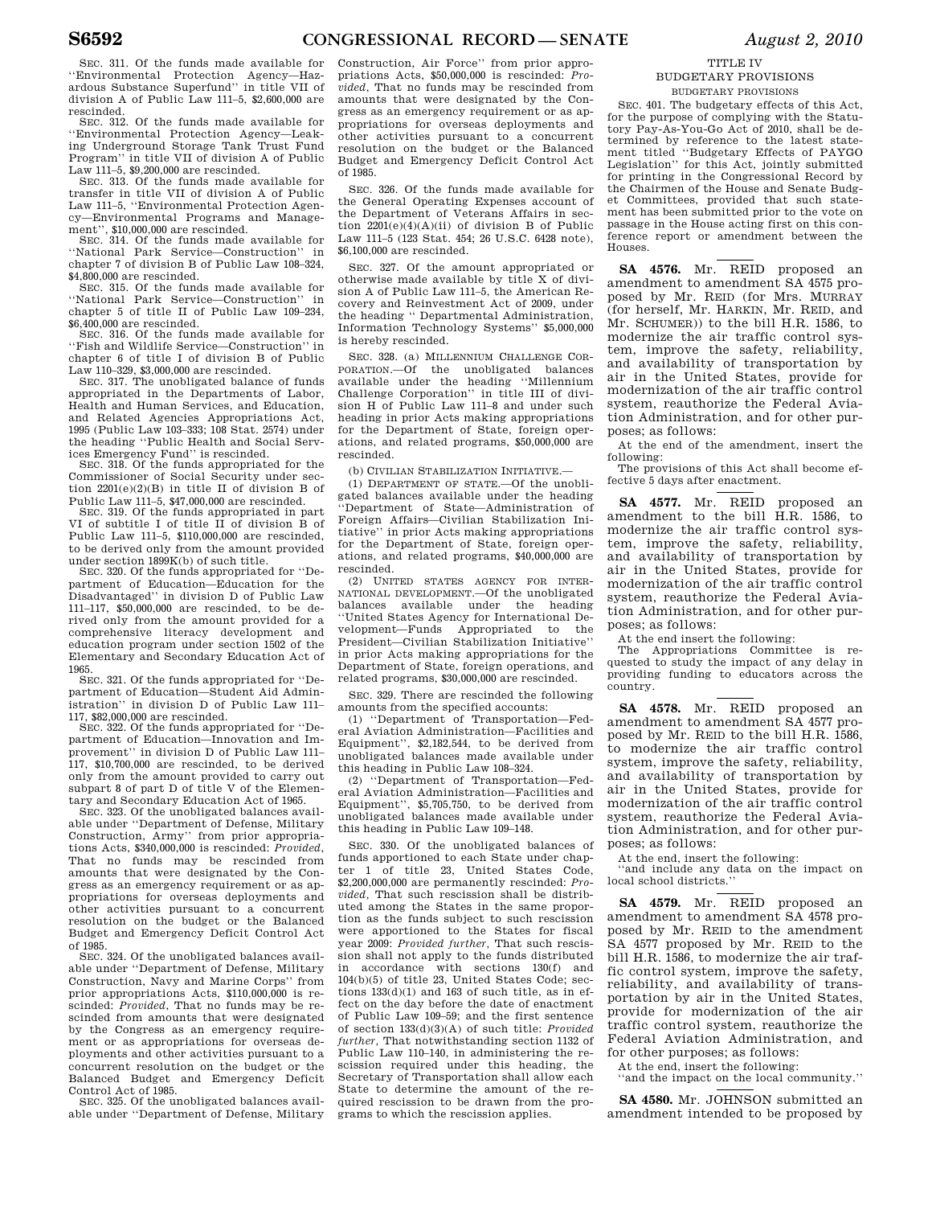SEC. 311. Of the funds made available for ''Environmental Protection Agency—Haz-ardous Substance Superfund'' in title VII of division A of Public Law 111–5, \$2,600,000 are rescinded.

SEC. 312. Of the funds made available for ''Environmental Protection Agency—Leaking Underground Storage Tank Trust Fund Program'' in title VII of division A of Public Law 111–5, \$9,200,000 are rescinded.

SEC. 313. Of the funds made available for transfer in title VII of division A of Public Law 111–5, ''Environmental Protection Agency—Environmental Programs and Management'', \$10,000,000 are rescinded.

SEC. 314. Of the funds made available for ''National Park Service—Construction'' in chapter 7 of division B of Public Law 108–324, \$4,800,000 are rescinded.

SEC. 315. Of the funds made available for ''National Park Service—Construction'' in chapter 5 of title II of Public Law 109–234, \$6,400,000 are rescinded.

SEC. 316. Of the funds made available for ''Fish and Wildlife Service—Construction'' in chapter 6 of title I of division B of Public Law 110–329, \$3,000,000 are rescinded.

SEC. 317. The unobligated balance of funds appropriated in the Departments of Labor, Health and Human Services, and Education, and Related Agencies Appropriations Act, 1995 (Public Law 103–333; 108 Stat. 2574) under the heading ''Public Health and Social Services Emergency Fund'' is rescinded.

SEC. 318. Of the funds appropriated for the Commissioner of Social Security under section 2201(e)(2)(B) in title II of division B of Public Law 111–5, \$47,000,000 are rescinded.

SEC. 319. Of the funds appropriated in part VI of subtitle I of title II of division B of Public Law 111–5, \$110,000,000 are rescinded, to be derived only from the amount provided under section 1899K(b) of such title.

SEC. 320. Of the funds appropriated for ''Department of Education—Education for the Disadvantaged'' in division D of Public Law 111–117, \$50,000,000 are rescinded, to be derived only from the amount provided for a comprehensive literacy development and education program under section 1502 of the Elementary and Secondary Education Act of 1965.

SEC. 321. Of the funds appropriated for ''Department of Education—Student Aid Administration'' in division D of Public Law 111– 117, \$82,000,000 are rescinded.

SEC. 322. Of the funds appropriated for ''Department of Education—Innovation and Improvement'' in division D of Public Law 111– 117, \$10,700,000 are rescinded, to be derived only from the amount provided to carry out subpart 8 of part D of title V of the Elementary and Secondary Education Act of 1965.

SEC. 323. Of the unobligated balances available under ''Department of Defense, Military Construction, Army'' from prior appropriations Acts, \$340,000,000 is rescinded: *Provided*, That no funds may be rescinded from amounts that were designated by the Congress as an emergency requirement or as appropriations for overseas deployments and other activities pursuant to a concurrent resolution on the budget or the Balanced Budget and Emergency Deficit Control Act of 1985.

SEC. 324. Of the unobligated balances available under ''Department of Defense, Military Construction, Navy and Marine Corps'' from prior appropriations Acts, \$110,000,000 is rescinded: *Provided*, That no funds may be rescinded from amounts that were designated by the Congress as an emergency requirement or as appropriations for overseas deployments and other activities pursuant to a concurrent resolution on the budget or the Balanced Budget and Emergency Deficit Control Act of 1985.

SEC. 325. Of the unobligated balances available under ''Department of Defense, Military

Construction, Air Force'' from prior appropriations Acts, \$50,000,000 is rescinded: *Provided*, That no funds may be rescinded from amounts that were designated by the Congress as an emergency requirement or as appropriations for overseas deployments and other activities pursuant to a concurrent resolution on the budget or the Balanced Budget and Emergency Deficit Control Act of 1985.

SEC. 326. Of the funds made available for the General Operating Expenses account of the Department of Veterans Affairs in section  $2201(e)(4)(A)(ii)$  of division B of Public Law 111–5 (123 Stat. 454; 26 U.S.C. 6428 note), \$6,100,000 are rescinded.

SEC. 327. Of the amount appropriated or otherwise made available by title X of division A of Public Law 111–5, the American Recovery and Reinvestment Act of 2009, under the heading '' Departmental Administration, Information Technology Systems'' \$5,000,000 is hereby rescinded.

SEC. 328. (a) MILLENNIUM CHALLENGE COR-PORATION.—Of the unobligated balances available under the heading ''Millennium Challenge Corporation'' in title III of division H of Public Law 111–8 and under such heading in prior Acts making appropriations for the Department of State, foreign operations, and related programs, \$50,000,000 are rescinded.

(b) CIVILIAN STABILIZATION INITIATIVE.—

(1) DEPARTMENT OF STATE.—Of the unobligated balances available under the heading ''Department of State—Administration of Foreign Affairs—Civilian Stabilization Initiative'' in prior Acts making appropriations for the Department of State, foreign operations, and related programs, \$40,000,000 are rescinded.

(2) UNITED STATES AGENCY FOR INTER-NATIONAL DEVELOPMENT.—Of the unobligated balances available under the heading ''United States Agency for International Development—Funds Appropriated to the President—Civilian Stabilization Initiative'' in prior Acts making appropriations for the Department of State, foreign operations, and related programs, \$30,000,000 are rescinded.

SEC. 329. There are rescinded the following amounts from the specified accounts:

(1) ''Department of Transportation—Federal Aviation Administration—Facilities and Equipment'', \$2,182,544, to be derived from unobligated balances made available under this heading in Public Law 108–324.

(2) ''Department of Transportation—Federal Aviation Administration—Facilities and Equipment'', \$5,705,750, to be derived from unobligated balances made available under this heading in Public Law 109–148.

SEC. 330. Of the unobligated balances of funds apportioned to each State under chapter 1 of title 23, United States Code, \$2,200,000,000 are permanently rescinded: *Provided,* That such rescission shall be distributed among the States in the same proportion as the funds subject to such rescission were apportioned to the States for fiscal year 2009: *Provided further,* That such rescission shall not apply to the funds distributed in accordance with sections 130(f) and 104(b)(5) of title 23, United States Code; sections 133(d)(1) and 163 of such title, as in effect on the day before the date of enactment of Public Law 109–59; and the first sentence of section 133(d)(3)(A) of such title: *Provided further,* That notwithstanding section 1132 of Public Law 110–140, in administering the rescission required under this heading, the Secretary of Transportation shall allow each State to determine the amount of the required rescission to be drawn from the programs to which the rescission applies.

TITLE IV

### BUDGETARY PROVISIONS BUDGETARY PROVISIONS

SEC. 401. The budgetary effects of this Act, for the purpose of complying with the Statutory Pay-As-You-Go Act of 2010, shall be determined by reference to the latest state-ment titled ''Budgetary Effects of PAYGO Legislation'' for this Act, jointly submitted for printing in the Congressional Record by the Chairmen of the House and Senate Budget Committees, provided that such statement has been submitted prior to the vote on passage in the House acting first on this conference report or amendment between the Houses.

**SA 4576.** Mr. REID proposed an amendment to amendment SA 4575 proposed by Mr. REID (for Mrs. MURRAY (for herself, Mr. HARKIN, Mr. REID, and Mr. SCHUMER)) to the bill H.R. 1586, to modernize the air traffic control system, improve the safety, reliability, and availability of transportation by air in the United States, provide for modernization of the air traffic control system, reauthorize the Federal Aviation Administration, and for other purposes; as follows:

At the end of the amendment, insert the following:

The provisions of this Act shall become effective 5 days after enactment.

**SA 4577.** Mr. REID proposed an amendment to the bill H.R. 1586, to modernize the air traffic control system, improve the safety, reliability, and availability of transportation by air in the United States, provide for modernization of the air traffic control system, reauthorize the Federal Aviation Administration, and for other purposes; as follows:

At the end insert the following:

The Appropriations Committee is requested to study the impact of any delay in providing funding to educators across the country.

**SA 4578.** Mr. REID proposed an amendment to amendment SA 4577 proposed by Mr. REID to the bill H.R. 1586, to modernize the air traffic control system, improve the safety, reliability, and availability of transportation by air in the United States, provide for modernization of the air traffic control system, reauthorize the Federal Aviation Administration, and for other purposes; as follows:

At the end, insert the following:

and include any data on the impact on local school districts.''

**SA 4579.** Mr. REID proposed an amendment to amendment SA 4578 proposed by Mr. REID to the amendment SA 4577 proposed by Mr. REID to the bill H.R. 1586, to modernize the air traffic control system, improve the safety, reliability, and availability of transportation by air in the United States, provide for modernization of the air traffic control system, reauthorize the Federal Aviation Administration, and for other purposes; as follows:

At the end, insert the following:

and the impact on the local community."

**SA 4580.** Mr. JOHNSON submitted an amendment intended to be proposed by